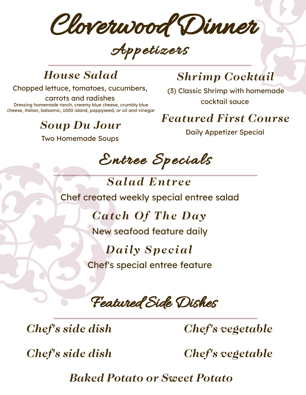Cloverwood Dinner

Appetizers

#### *House Salad*

Chopped lettuce, tomatoes, cucumbers,

carrots and radishes Dressing homemade ranch, creamy blue cheese, crumbly blue cheese, italian, balsamic, 1000 island, poppyseed, or oil and vinegar

# *Soup Du Jour*

Two Homemade Soups

# *Shrimp Cocktail*

(3) Classic Shrimp with homemade cocktail sauce

*Featured First Course*

Daily Appetizer Special

Entree Specials

*Salad Entree* Chef created weekly special entree salad

> *Cat ch Of The Day* New seafood feature daily

# *Daily Spe c ial*

Chef's special entree feature

Featured Side Dishes

*Chef's side dish*

*Chef's vegetable*

*Chef's side dish*

*Chef's vegetable*

*Baked Potato or Sweet Potato*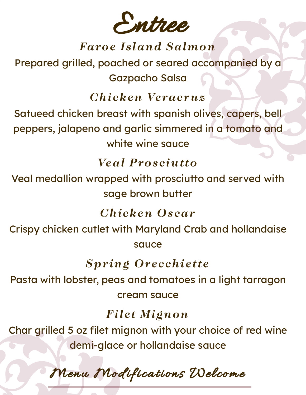Entree

### **Faroe Island Salmon**

Prepared grilled, poached or seared accompanied by a **Gazpacho Salsa** 

### Chicken Veracruz

Satueed chicken breast with spanish olives, capers, bell peppers, jalapeno and garlic simmered in a tomato and white wine sauce

### **Veal Prosciutto**

Veal medallion wrapped with prosciutto and served with sage brown butter

### **Chicken Oscar**

Crispy chicken cutlet with Maryland Crab and hollandaise sauce

### **Spring Orecchiette**

Pasta with lobster, peas and tomatoes in a light tarragon cream squce

### **Filet Mignon**

Char grilled 5 oz filet mignon with your choice of red wine demi-glace or hollandaise sauce

Menu Modifications Welcome